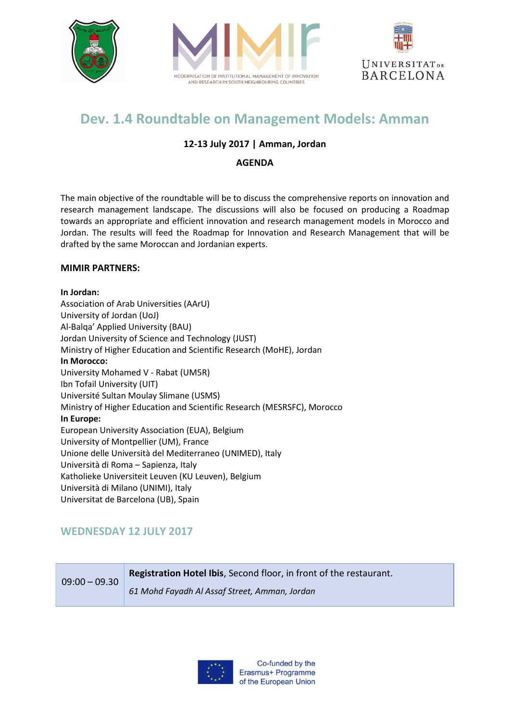





# **Dev. 1.4 Roundtable on Management Models: Amman**

### **12-13 July 2017 | Amman, Jordan**

#### **AGENDA**

The main objective of the roundtable will be to discuss the comprehensive reports on innovation and research management landscape. The discussions will also be focused on producing a Roadmap towards an appropriate and efficient innovation and research management models in Morocco and Jordan. The results will feed the Roadmap for Innovation and Research Management that will be drafted by the same Moroccan and Jordanian experts.

#### **MIMIR PARTNERS:**

#### **In Jordan:**

Association of Arab Universities (AArU) University of Jordan (UoJ) Al-Balqa' Applied University (BAU) Jordan University of Science and Technology (JUST) Ministry of Higher Education and Scientific Research (MoHE), Jordan **In Morocco:** University Mohamed V - Rabat (UM5R) Ibn Tofail University (UIT) Université Sultan Moulay Slimane (USMS) Ministry of Higher Education and Scientific Research (MESRSFC), Morocco **In Europe:**  European University Association (EUA), Belgium University of Montpellier (UM), France Unione delle Università del Mediterraneo (UNIMED), Italy Università di Roma – Sapienza, Italy Katholieke Universiteit Leuven (KU Leuven), Belgium Università di Milano (UNIMI), Italy Universitat de Barcelona (UB), Spain

## **WEDNESDAY 12 JULY 2017**

| $09:00 - 09.30$ | <b>Registration Hotel Ibis, Second floor, in front of the restaurant.</b> |
|-----------------|---------------------------------------------------------------------------|
|                 | 61 Mohd Fayadh Al Assaf Street, Amman, Jordan                             |

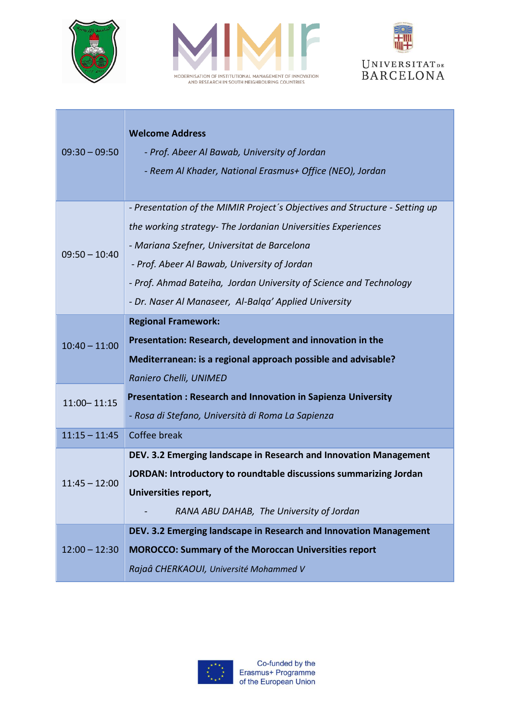





| $09:30 - 09:50$ | <b>Welcome Address</b>                                                      |
|-----------------|-----------------------------------------------------------------------------|
|                 | - Prof. Abeer Al Bawab, University of Jordan                                |
|                 | - Reem Al Khader, National Erasmus+ Office (NEO), Jordan                    |
|                 |                                                                             |
| $09:50 - 10:40$ | - Presentation of the MIMIR Project's Objectives and Structure - Setting up |
|                 | the working strategy- The Jordanian Universities Experiences                |
|                 | - Mariana Szefner, Universitat de Barcelona                                 |
|                 | - Prof. Abeer Al Bawab, University of Jordan                                |
|                 | - Prof. Ahmad Bateiha, Jordan University of Science and Technology          |
|                 | - Dr. Naser Al Manaseer, Al-Balga' Applied University                       |
|                 | <b>Regional Framework:</b>                                                  |
| $10:40 - 11:00$ | Presentation: Research, development and innovation in the                   |
|                 | Mediterranean: is a regional approach possible and advisable?               |
|                 | Raniero Chelli, UNIMED                                                      |
| $11:00 - 11:15$ | Presentation: Research and Innovation in Sapienza University                |
|                 | - Rosa di Stefano, Università di Roma La Sapienza                           |
| $11:15 - 11:45$ | Coffee break                                                                |
| $11:45 - 12:00$ | DEV. 3.2 Emerging landscape in Research and Innovation Management           |
|                 | JORDAN: Introductory to roundtable discussions summarizing Jordan           |
|                 | Universities report,                                                        |
|                 | RANA ABU DAHAB, The University of Jordan                                    |
| $12:00 - 12:30$ | DEV. 3.2 Emerging landscape in Research and Innovation Management           |
|                 | <b>MOROCCO: Summary of the Moroccan Universities report</b>                 |
|                 | Rajaâ CHERKAOUI, Université Mohammed V                                      |

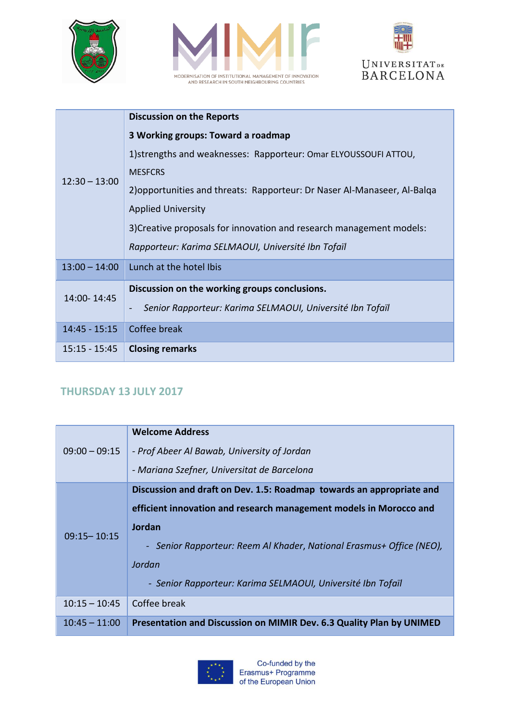





|                 | <b>Discussion on the Reports</b>                                                      |
|-----------------|---------------------------------------------------------------------------------------|
| $12:30 - 13:00$ | 3 Working groups: Toward a roadmap                                                    |
|                 | 1) strengths and weaknesses: Rapporteur: Omar ELYOUSSOUFI ATTOU,                      |
|                 | <b>MESFCRS</b>                                                                        |
|                 | 2) opportunities and threats: Rapporteur: Dr Naser Al-Manaseer, Al-Balga              |
|                 | <b>Applied University</b>                                                             |
|                 | 3) Creative proposals for innovation and research management models:                  |
|                 | Rapporteur: Karima SELMAOUI, Université Ibn Tofaïl                                    |
| $13:00 - 14:00$ | Lunch at the hotel Ibis                                                               |
| 14:00-14:45     | Discussion on the working groups conclusions.                                         |
|                 | Senior Rapporteur: Karima SELMAOUI, Université Ibn Tofaïl<br>$\overline{\phantom{a}}$ |
| $14:45 - 15:15$ | Coffee break                                                                          |
| $15:15 - 15:45$ | <b>Closing remarks</b>                                                                |

## **THURSDAY 13 JULY 2017**

| $09:00 - 09:15$ | <b>Welcome Address</b><br>- Prof Abeer Al Bawab, University of Jordan |
|-----------------|-----------------------------------------------------------------------|
|                 | - Mariana Szefner, Universitat de Barcelona                           |
| $09:15 - 10:15$ | Discussion and draft on Dev. 1.5: Roadmap towards an appropriate and  |
|                 | efficient innovation and research management models in Morocco and    |
|                 | <b>Jordan</b>                                                         |
|                 | - Senior Rapporteur: Reem Al Khader, National Erasmus+ Office (NEO),  |
|                 | Jordan                                                                |
|                 | - Senior Rapporteur: Karima SELMAOUI, Université Ibn Tofaïl           |
| $10:15 - 10:45$ | Coffee break                                                          |
| $10:45 - 11:00$ | Presentation and Discussion on MIMIR Dev. 6.3 Quality Plan by UNIMED  |